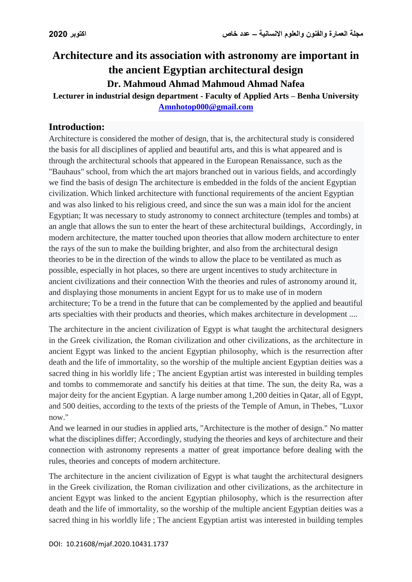# **Architecture and its association with astronomy are important in the ancient Egyptian architectural design Dr. Mahmoud Ahmad Mahmoud Ahmad Nafea**

**Lecturer in industrial design department - Faculty of Applied Arts – Benha University [Amnhotop000@gmail.com](mailto:Amnhotop000@gmail.com)**

## **Introduction:**

Architecture is considered the mother of design, that is, the architectural study is considered the basis for all disciplines of applied and beautiful arts, and this is what appeared and is through the architectural schools that appeared in the European Renaissance, such as the "Bauhaus" school, from which the art majors branched out in various fields, and accordingly we find the basis of design The architecture is embedded in the folds of the ancient Egyptian civilization. Which linked architecture with functional requirements of the ancient Egyptian and was also linked to his religious creed, and since the sun was a main idol for the ancient Egyptian; It was necessary to study astronomy to connect architecture (temples and tombs) at an angle that allows the sun to enter the heart of these architectural buildings, Accordingly, in modern architecture, the matter touched upon theories that allow modern architecture to enter the rays of the sun to make the building brighter, and also from the architectural design theories to be in the direction of the winds to allow the place to be ventilated as much as possible, especially in hot places, so there are urgent incentives to study architecture in ancient civilizations and their connection With the theories and rules of astronomy around it, and displaying those monuments in ancient Egypt for us to make use of in modern architecture; To be a trend in the future that can be complemented by the applied and beautiful arts specialties with their products and theories, which makes architecture in development ....

The architecture in the ancient civilization of Egypt is what taught the architectural designers in the Greek civilization, the Roman civilization and other civilizations, as the architecture in ancient Egypt was linked to the ancient Egyptian philosophy, which is the resurrection after death and the life of immortality, so the worship of the multiple ancient Egyptian deities was a sacred thing in his worldly life ; The ancient Egyptian artist was interested in building temples and tombs to commemorate and sanctify his deities at that time. The sun, the deity Ra, was a major deity for the ancient Egyptian. A large number among 1,200 deities in Qatar, all of Egypt, and 500 deities, according to the texts of the priests of the Temple of Amun, in Thebes, "Luxor now."

And we learned in our studies in applied arts, "Architecture is the mother of design." No matter what the disciplines differ; Accordingly, studying the theories and keys of architecture and their connection with astronomy represents a matter of great importance before dealing with the rules, theories and concepts of modern architecture.

The architecture in the ancient civilization of Egypt is what taught the architectural designers in the Greek civilization, the Roman civilization and other civilizations, as the architecture in ancient Egypt was linked to the ancient Egyptian philosophy, which is the resurrection after death and the life of immortality, so the worship of the multiple ancient Egyptian deities was a sacred thing in his worldly life ; The ancient Egyptian artist was interested in building temples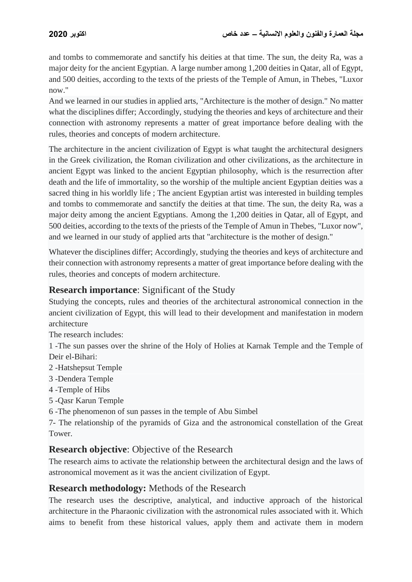and tombs to commemorate and sanctify his deities at that time. The sun, the deity Ra, was a major deity for the ancient Egyptian. A large number among 1,200 deities in Qatar, all of Egypt, and 500 deities, according to the texts of the priests of the Temple of Amun, in Thebes, "Luxor now."

And we learned in our studies in applied arts, "Architecture is the mother of design." No matter what the disciplines differ; Accordingly, studying the theories and keys of architecture and their connection with astronomy represents a matter of great importance before dealing with the rules, theories and concepts of modern architecture.

The architecture in the ancient civilization of Egypt is what taught the architectural designers in the Greek civilization, the Roman civilization and other civilizations, as the architecture in ancient Egypt was linked to the ancient Egyptian philosophy, which is the resurrection after death and the life of immortality, so the worship of the multiple ancient Egyptian deities was a sacred thing in his worldly life ; The ancient Egyptian artist was interested in building temples and tombs to commemorate and sanctify the deities at that time. The sun, the deity Ra, was a major deity among the ancient Egyptians. Among the 1,200 deities in Qatar, all of Egypt, and 500 deities, according to the texts of the priests of the Temple of Amun in Thebes, "Luxor now", and we learned in our study of applied arts that "architecture is the mother of design."

Whatever the disciplines differ; Accordingly, studying the theories and keys of architecture and their connection with astronomy represents a matter of great importance before dealing with the rules, theories and concepts of modern architecture.

## **Research importance**: Significant of the Study

Studying the concepts, rules and theories of the architectural astronomical connection in the ancient civilization of Egypt, this will lead to their development and manifestation in modern architecture

The research includes:

1 -The sun passes over the shrine of the Holy of Holies at Karnak Temple and the Temple of Deir el-Bihari:

- 2 -Hatshepsut Temple
- 3 -Dendera Temple
- 4 -Temple of Hibs
- 5 -Qasr Karun Temple
- 6 -The phenomenon of sun passes in the temple of Abu Simbel

7- The relationship of the pyramids of Giza and the astronomical constellation of the Great Tower.

### **Research objective**: Objective of the Research

The research aims to activate the relationship between the architectural design and the laws of astronomical movement as it was the ancient civilization of Egypt.

### **Research methodology:** Methods of the Research

The research uses the descriptive, analytical, and inductive approach of the historical architecture in the Pharaonic civilization with the astronomical rules associated with it. Which aims to benefit from these historical values, apply them and activate them in modern